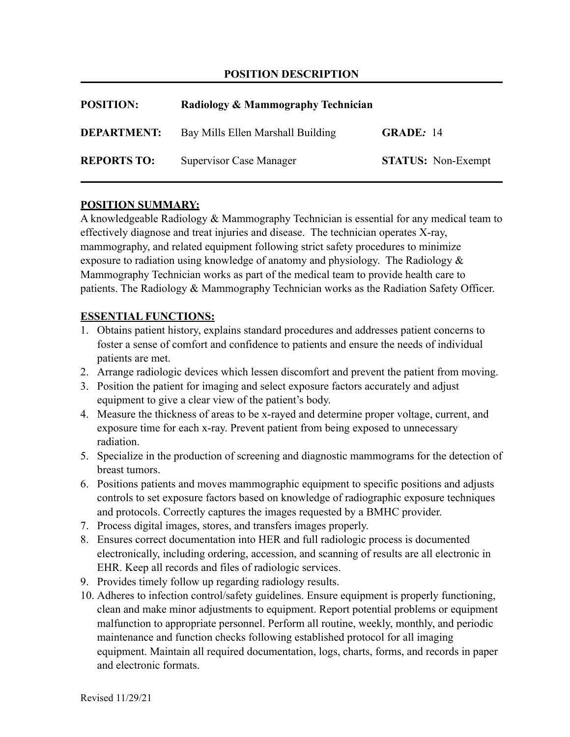### **POSITION DESCRIPTION**

| <b>POSITION:</b>   | Radiology & Mammography Technician |                           |
|--------------------|------------------------------------|---------------------------|
| <b>DEPARTMENT:</b> | Bay Mills Ellen Marshall Building  | <b>GRADE: 14</b>          |
| <b>REPORTS TO:</b> | <b>Supervisor Case Manager</b>     | <b>STATUS:</b> Non-Exempt |

### **POSITION SUMMARY:**

A knowledgeable Radiology & Mammography Technician is essential for any medical team to effectively diagnose and treat injuries and disease. The technician operates X-ray, mammography, and related equipment following strict safety procedures to minimize exposure to radiation using knowledge of anatomy and physiology. The Radiology & Mammography Technician works as part of the medical team to provide health care to patients. The Radiology & Mammography Technician works as the Radiation Safety Officer.

#### **ESSENTIAL FUNCTIONS:**

- 1. Obtains patient history, explains standard procedures and addresses patient concerns to foster a sense of comfort and confidence to patients and ensure the needs of individual patients are met.
- 2. Arrange radiologic devices which lessen discomfort and prevent the patient from moving.
- 3. Position the patient for imaging and select exposure factors accurately and adjust equipment to give a clear view of the patient's body.
- 4. Measure the thickness of areas to be x-rayed and determine proper voltage, current, and exposure time for each x-ray. Prevent patient from being exposed to unnecessary radiation.
- 5. Specialize in the production of screening and diagnostic mammograms for the detection of breast tumors.
- 6. Positions patients and moves mammographic equipment to specific positions and adjusts controls to set exposure factors based on knowledge of radiographic exposure techniques and protocols. Correctly captures the images requested by a BMHC provider.
- 7. Process digital images, stores, and transfers images properly.
- 8. Ensures correct documentation into HER and full radiologic process is documented electronically, including ordering, accession, and scanning of results are all electronic in EHR. Keep all records and files of radiologic services.
- 9. Provides timely follow up regarding radiology results.
- 10. Adheres to infection control/safety guidelines. Ensure equipment is properly functioning, clean and make minor adjustments to equipment. Report potential problems or equipment malfunction to appropriate personnel. Perform all routine, weekly, monthly, and periodic maintenance and function checks following established protocol for all imaging equipment. Maintain all required documentation, logs, charts, forms, and records in paper and electronic formats.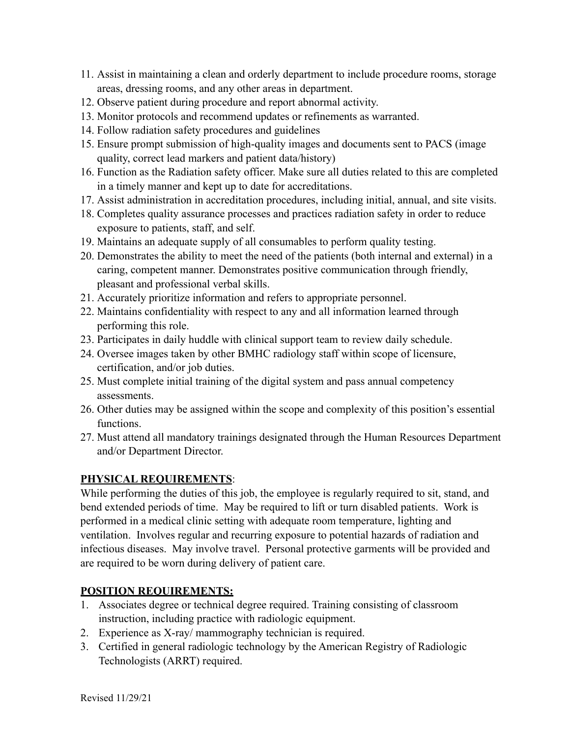- 11. Assist in maintaining a clean and orderly department to include procedure rooms, storage areas, dressing rooms, and any other areas in department.
- 12. Observe patient during procedure and report abnormal activity.
- 13. Monitor protocols and recommend updates or refinements as warranted.
- 14. Follow radiation safety procedures and guidelines
- 15. Ensure prompt submission of high-quality images and documents sent to PACS (image quality, correct lead markers and patient data/history)
- 16. Function as the Radiation safety officer. Make sure all duties related to this are completed in a timely manner and kept up to date for accreditations.
- 17. Assist administration in accreditation procedures, including initial, annual, and site visits.
- 18. Completes quality assurance processes and practices radiation safety in order to reduce exposure to patients, staff, and self.
- 19. Maintains an adequate supply of all consumables to perform quality testing.
- 20. Demonstrates the ability to meet the need of the patients (both internal and external) in a caring, competent manner. Demonstrates positive communication through friendly, pleasant and professional verbal skills.
- 21. Accurately prioritize information and refers to appropriate personnel.
- 22. Maintains confidentiality with respect to any and all information learned through performing this role.
- 23. Participates in daily huddle with clinical support team to review daily schedule.
- 24. Oversee images taken by other BMHC radiology staff within scope of licensure, certification, and/or job duties.
- 25. Must complete initial training of the digital system and pass annual competency assessments.
- 26. Other duties may be assigned within the scope and complexity of this position's essential functions.
- 27. Must attend all mandatory trainings designated through the Human Resources Department and/or Department Director.

# **PHYSICAL REQUIREMENTS**:

While performing the duties of this job, the employee is regularly required to sit, stand, and bend extended periods of time. May be required to lift or turn disabled patients. Work is performed in a medical clinic setting with adequate room temperature, lighting and ventilation. Involves regular and recurring exposure to potential hazards of radiation and infectious diseases. May involve travel. Personal protective garments will be provided and are required to be worn during delivery of patient care.

# **POSITION REQUIREMENTS:**

- 1. Associates degree or technical degree required. Training consisting of classroom instruction, including practice with radiologic equipment.
- 2. Experience as X-ray/ mammography technician is required.
- 3. Certified in general radiologic technology by the American Registry of Radiologic Technologists (ARRT) required.